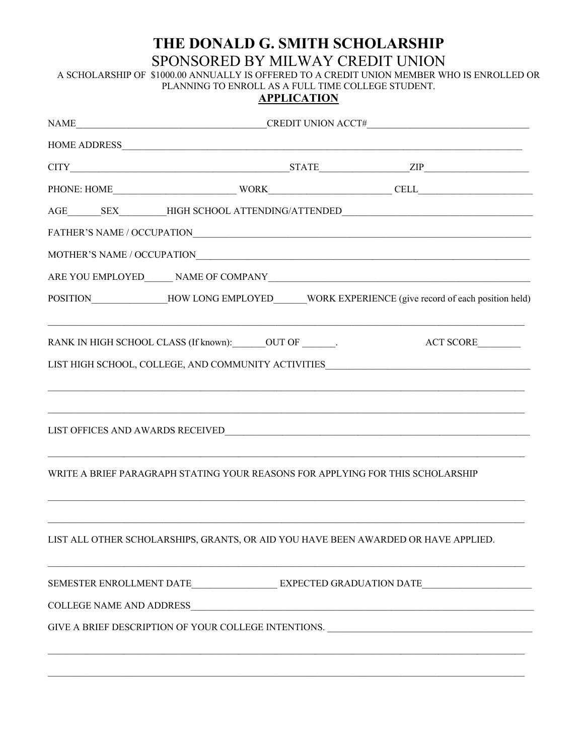# THE DONALD G. SMITH SCHOLARSHIP SPONSORED BY MILWAY CREDIT UNION

A SCHOLARSHIP OF \$1000.00 ANNUALLY IS OFFERED TO A CREDIT UNION MEMBER WHO IS ENROLLED OR PLANNING TO ENROLL AS A FULL TIME COLLEGE STUDENT.

## **APPLICATION**

|                                                              |  | $\begin{tabular}{c} AGE \hspace{0.03cm} \begin{tabular}{c} \multicolumn{2}{c}{} & \multicolumn{2}{c}{} \\ \multicolumn{2}{c}{} & \multicolumn{2}{c}{} \\ \multicolumn{2}{c}{} & \multicolumn{2}{c}{} \\ \multicolumn{2}{c}{} & \multicolumn{2}{c}{} \\ \multicolumn{2}{c}{} & \multicolumn{2}{c}{} \\ \multicolumn{2}{c}{} & \multicolumn{2}{c}{} \\ \multicolumn{2}{c}{} & \multicolumn{2}{c}{} \\ \multicolumn{2}{c}{} & \multicolumn{2}{c}{} \\ \multicolumn{2}{c}{} & \multicolumn{$ |  |
|--------------------------------------------------------------|--|------------------------------------------------------------------------------------------------------------------------------------------------------------------------------------------------------------------------------------------------------------------------------------------------------------------------------------------------------------------------------------------------------------------------------------------------------------------------------------------|--|
|                                                              |  |                                                                                                                                                                                                                                                                                                                                                                                                                                                                                          |  |
|                                                              |  |                                                                                                                                                                                                                                                                                                                                                                                                                                                                                          |  |
|                                                              |  |                                                                                                                                                                                                                                                                                                                                                                                                                                                                                          |  |
|                                                              |  | POSITION_________________HOW LONG EMPLOYED______WORK EXPERIENCE (give record of each position held)                                                                                                                                                                                                                                                                                                                                                                                      |  |
| RANK IN HIGH SCHOOL CLASS (If known): ______ OUT OF _______. |  | ACT SCORE                                                                                                                                                                                                                                                                                                                                                                                                                                                                                |  |
|                                                              |  | LIST HIGH SCHOOL, COLLEGE, AND COMMUNITY ACTIVITIES ____________________________                                                                                                                                                                                                                                                                                                                                                                                                         |  |
|                                                              |  |                                                                                                                                                                                                                                                                                                                                                                                                                                                                                          |  |
|                                                              |  |                                                                                                                                                                                                                                                                                                                                                                                                                                                                                          |  |
|                                                              |  |                                                                                                                                                                                                                                                                                                                                                                                                                                                                                          |  |
|                                                              |  |                                                                                                                                                                                                                                                                                                                                                                                                                                                                                          |  |
|                                                              |  | WRITE A BRIEF PARAGRAPH STATING YOUR REASONS FOR APPLYING FOR THIS SCHOLARSHIP                                                                                                                                                                                                                                                                                                                                                                                                           |  |
|                                                              |  |                                                                                                                                                                                                                                                                                                                                                                                                                                                                                          |  |
|                                                              |  | LIST ALL OTHER SCHOLARSHIPS, GRANTS, OR AID YOU HAVE BEEN AWARDED OR HAVE APPLIED.                                                                                                                                                                                                                                                                                                                                                                                                       |  |
|                                                              |  |                                                                                                                                                                                                                                                                                                                                                                                                                                                                                          |  |
|                                                              |  |                                                                                                                                                                                                                                                                                                                                                                                                                                                                                          |  |
|                                                              |  | GIVE A BRIEF DESCRIPTION OF YOUR COLLEGE INTENTIONS. ____________________________                                                                                                                                                                                                                                                                                                                                                                                                        |  |
|                                                              |  |                                                                                                                                                                                                                                                                                                                                                                                                                                                                                          |  |
|                                                              |  |                                                                                                                                                                                                                                                                                                                                                                                                                                                                                          |  |